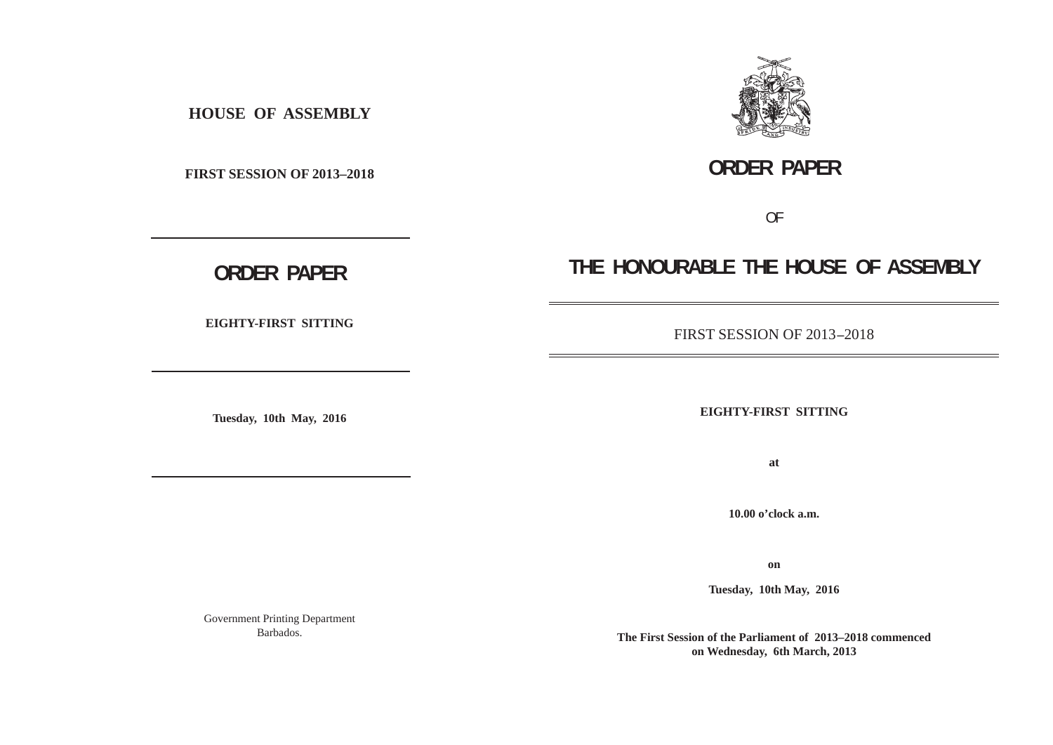**HOUSE OF ASSEMBLY**

**FIRST SESSION OF 2013–2018**

**ORDER PAPER**

OF

**THE HONOURABLE THE HOUSE OF ASSEMBLY**

# **ORDER PAPER**

**EIGHTY-FIRST SITTING**

**Tuesday, 10th May, 2016**

FIRST SESSION OF 2013 **–**2018

**EIGHTY-FIRST SITTING**

**at**

**10.00 o'clock a.m.**

**on**

**Tuesday, 10th May, 2016**

Government Printing Department Barbados.

**The First Session of the Parliament of 2013–2018 commenced on Wednesday, 6th March, 2013**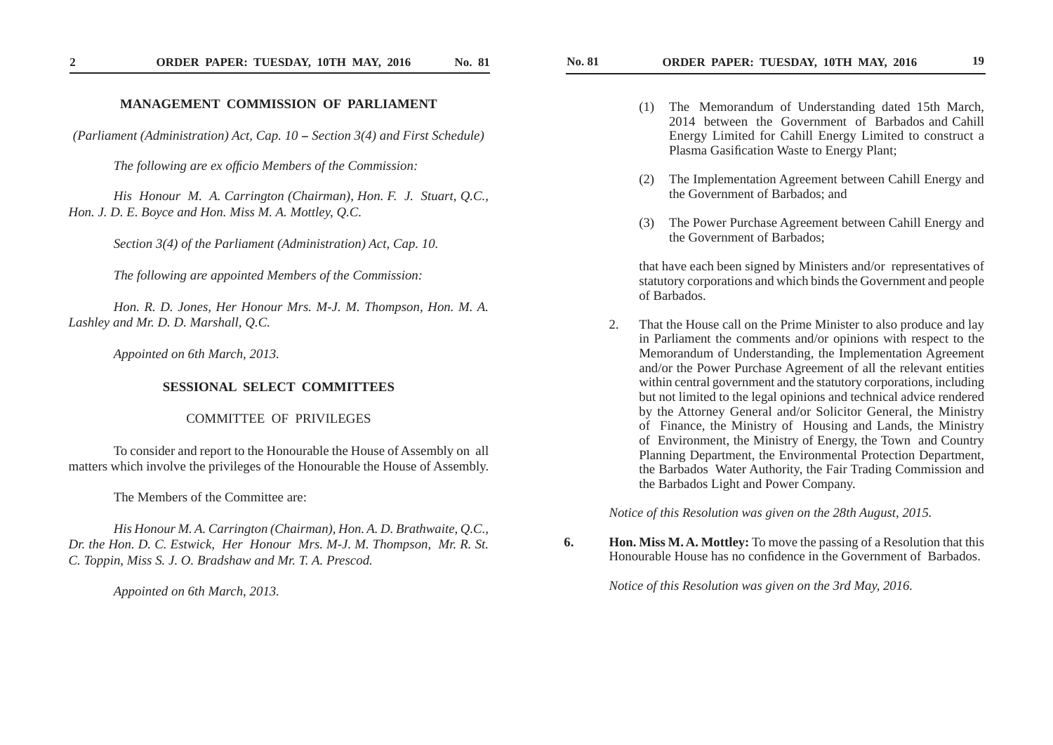## **MANAGEMENT COMMISSION OF PARLIAMENT**

*(Parliament (Administration) Act, Cap. 10 -- Section 3(4) and First Schedule)*

*The following are ex officio Members of the Commission:* 

 *His Honour M. A. Carrington (Chairman), Hon. F. J. Stuart, Q.C., Hon. J. D. E. Boyce and Hon. Miss M. A. Mottley, Q.C.*

 *Section 3(4) of the Parliament (Administration) Act, Cap. 10.*

 *The following are appointed Members of the Commission:*

 *Hon. R. D. Jones, Her Honour Mrs. M-J. M. Thompson, Hon. M. A. Lashley and Mr. D. D. Marshall, Q.C.*

*Appointed on 6th March, 2013.*

### **SESSIONAL SELECT COMMITTEES**

COMMITTEE OF PRIVILEGES

 To consider and report to the Honourable the House of Assembly on all matters which involve the privileges of the Honourable the House of Assembly.

The Members of the Committee are:

 *His Honour M. A. Carrington (Chairman), Hon. A. D. Brathwaite, Q.C., Dr. the Hon. D. C. Estwick, Her Honour Mrs. M-J. M. Thompson, Mr. R. St. C. Toppin, Miss S. J. O. Bradshaw and Mr. T. A. Prescod.*

 *Appointed on 6th March, 2013.*

- (1) The Memorandum of Understanding dated 15th March, 2014 between the Government of Barbados and Cahill Energy Limited for Cahill Energy Limited to construct a Plasma Gasification Waste to Energy Plant;
- (2) The Implementation Agreement between Cahill Energy and the Government of Barbados; and
- (3) The Power Purchase Agreement between Cahill Energy and the Government of Barbados;

that have each been signed by Ministers and/or representatives of statutory corporations and which binds the Government and people of Barbados.

 2. That the House call on the Prime Minister to also produce and lay in Parliament the comments and/or opinions with respect to the Memorandum of Understanding, the Implementation Agreement and/or the Power Purchase Agreement of all the relevant entities within central government and the statutory corporations, including but not limited to the legal opinions and technical advice rendered by the Attorney General and/or Solicitor General, the Ministry of Finance, the Ministry of Housing and Lands, the Ministry of Environment, the Ministry of Energy, the Town and Country Planning Department, the Environmental Protection Department, the Barbados Water Authority, the Fair Trading Commission and the Barbados Light and Power Company.

*Notice of this Resolution was given on the 28th August, 2015.*

**6. Hon. Miss M. A. Mottley:** To move the passing of a Resolution that this Honourable House has no confidence in the Government of Barbados.

*Notice of this Resolution was given on the 3rd May, 2016.*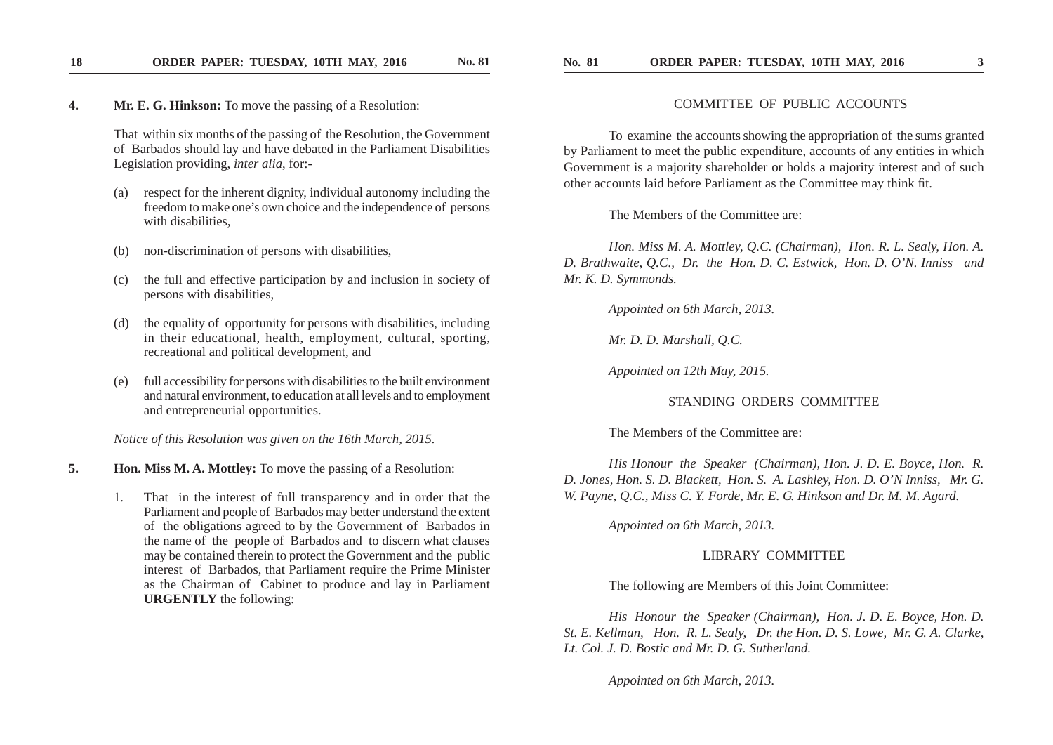**18**

**ORDER PAPER: TUESDAY, 10TH MAY, 2016 No. 81** 

 That within six months of the passing of the Resolution, the Government of Barbados should lay and have debated in the Parliament Disabilities Legislation providing, *inter alia*, for:-

- respect for the inherent dignity, individual autonomy including the freedom to make one's own choice and the independence of persons with disabilities,
- (b) non-discrimination of persons with disabilities,
- (c) the full and effective participation by and inclusion in society of persons with disabilities,
- (d) the equality of opportunity for persons with disabilities, including in their educational, health, employment, cultural, sporting, recreational and political development, and
- (e) full accessibility for persons with disabilities to the built environment and natural environment, to education at all levels and to employment and entrepreneurial opportunities.

*Notice of this Resolution was given on the 16th March, 2015.*

**5. Hon. Miss M. A. Mottley:** To move the passing of a Resolution:

 1. That in the interest of full transparency and in order that the Parliament and people of Barbados may better understand the extent of the obligations agreed to by the Government of Barbados in the name of the people of Barbados and to discern what clauses may be contained therein to protect the Government and the public interest of Barbados, that Parliament require the Prime Minister as the Chairman of Cabinet to produce and lay in Parliament **URGENTLY** the following:

### COMMITTEE OF PUBLIC ACCOUNTS

 To examine the accounts showing the appropriation of the sums granted by Parliament to meet the public expenditure, accounts of any entities in which Government is a majority shareholder or holds a majority interest and of such other accounts laid before Parliament as the Committee may think fit.

The Members of the Committee are:

 *Hon. Miss M. A. Mottley, Q.C. (Chairman), Hon. R. L. Sealy, Hon. A. D. Brathwaite, Q.C., Dr. the Hon. D. C. Estwick, Hon. D. O'N. Inniss and Mr. K. D. Symmonds.*

 *Appointed on 6th March, 2013.*

 *Mr. D. D. Marshall, Q.C.*

 *Appointed on 12th May, 2015.*

### STANDING ORDERS COMMITTEE

The Members of the Committee are:

 *His Honour the Speaker (Chairman), Hon. J. D. E. Boyce, Hon. R. D. Jones, Hon. S. D. Blackett, Hon. S. A. Lashley, Hon. D. O'N Inniss, Mr. G. W. Payne, Q.C., Miss C. Y. Forde, Mr. E. G . Hinkson and Dr. M. M. Agard.*

 *Appointed on 6th March, 2013.*

### LIBRARY COMMITTEE

The following are Members of this Joint Committee:

 *His Honour the Speaker (Chairman), Hon. J. D. E. Boyce, Hon. D. St. E. Kellman, Hon. R. L. Sealy, Dr. the Hon. D. S. Lowe, Mr. G . A. Clarke, Lt. Col. J. D. Bostic and Mr. D. G . Sutherland.*

 *Appointed on 6th March, 2013.*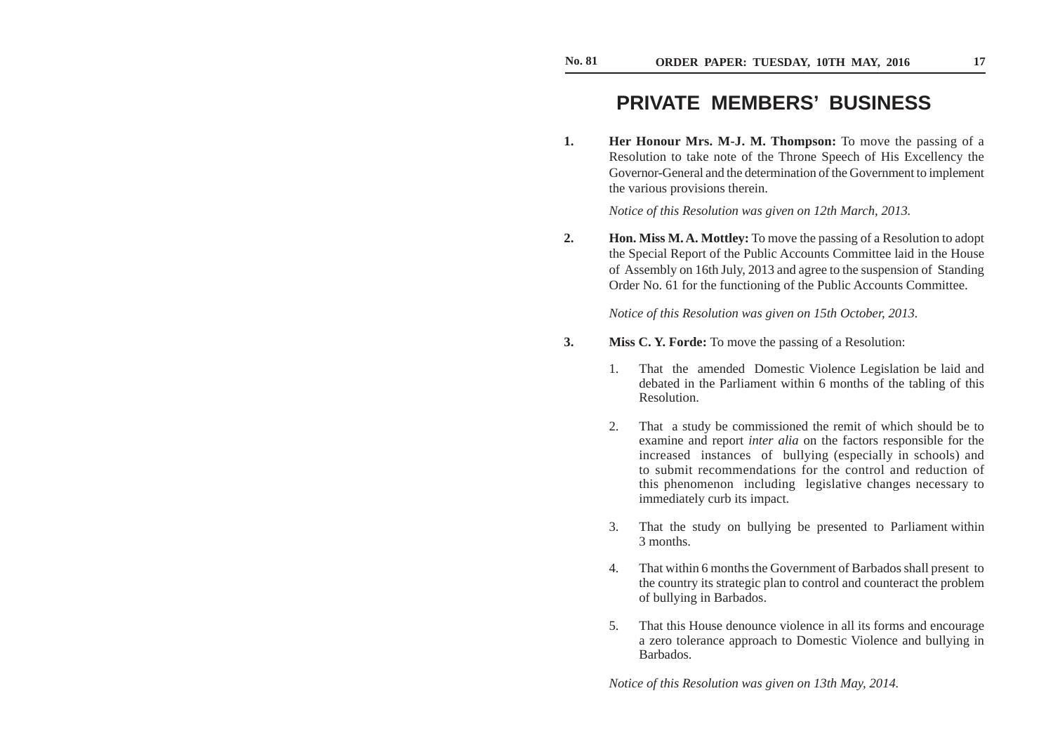# **PRIVATE MEMBERS' BUSINESS**

**1. Her Honour Mrs. M-J. M. Thompson:** To move the passing of a Resolution to take note of the Throne Speech of His Excellency the Governor-General and the determination of the Government to implement the various provisions therein.

*Notice of this Resolution was given on 12th March, 2013.*

**2. Hon. Miss M. A. Mottley:** To move the passing of a Resolution to adopt the Special Report of the Public Accounts Committee laid in the House of Assembly on 16th July, 2013 and agree to the suspension of Standing Order No. 61 for the functioning of the Public Accounts Committee.

*Notice of this Resolution was given on 15th October, 2013.*

- **3. Miss C. Y. Forde:** To move the passing of a Resolution:
	- 1. That the amended Domestic Violence Legislation be laid and debated in the Parliament within 6 months of the tabling of this Resolution.
	- 2. That a study be commissioned the remit of which should be to examine and report *inter alia* on the factors responsible for the increased instances of bullying (especially in schools) and to submit recommendations for the control and reduction of this phenomenon including legislative changes necessary to immediately curb its impact.
	- 3. That the study on bullying be presented to Parliament within 3 months.
	- 4. That within 6 months the Government of Barbados shall present to the country its strategic plan to control and counteract the problem of bullying in Barbados.
	- 5. That this House denounce violence in all its forms and encourage a zero tolerance approach to Domestic Violence and bullying in Barbados.

*Notice of this Resolution was given on 13th May, 2014.*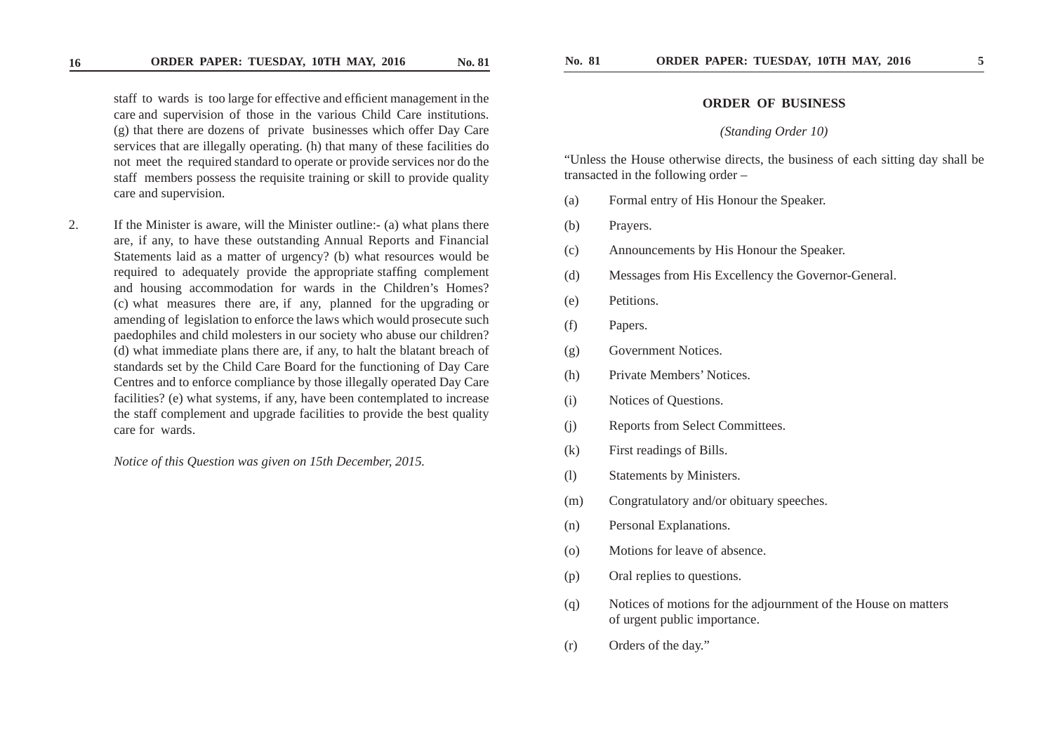staff to wards is too large for effective and efficient management in the care and supervision of those in the various Child Care institutions. (g) that there are dozens of private businesses which offer Day Care services that are illegally operating. (h) that many of these facilities do not meet the required standard to operate or provide services nor do the staff members possess the requisite training or skill to provide quality care and supervision.

2. If the Minister is aware, will the Minister outline:- (a) what plans there are, if any, to have these outstanding Annual Reports and Financial Statements laid as a matter of urgency? (b) what resources would be required to adequately provide the appropriate staffing complement and housing accommodation for wards in the Children's Homes? (c) what measures there are, if any, planned for the upgrading or amending of legislation to enforce the laws which would prosecute such paedophiles and child molesters in our society who abuse our children? (d) what immediate plans there are, if any, to halt the blatant breach of standards set by the Child Care Board for the functioning of Day Care Centres and to enforce compliance by those illegally operated Day Care facilities? (e) what systems, if any, have been contemplated to increase the staff complement and upgrade facilities to provide the best quality care for wards.

*Notice of this Question was given on 15th December, 2015.*

### **ORDER OF BUSINESS**

### *(Standing Order 10)*

 "Unless the House otherwise directs, the business of each sitting day shall be transacted in the following order –

- (a) Formal entry of His Honour the Speaker.
- (b) Prayers.
- (c) Announcements by His Honour the Speaker.
- (d) Messages from His Excellency the Governor-General.
- (e) Petitions.
- (f) Papers.
- (g) Government Notices.
- (h) Private Members' Notices.
- (i) Notices of Questions.
- (j) Reports from Select Committees.
- (k) First readings of Bills.
- (l) Statements by Ministers.
- (m) Congratulatory and/or obituary speeches.
- (n) Personal Explanations.
- (o) Motions for leave of absence.
- (p) Oral replies to questions.
- (q) Notices of motions for the adjournment of the House on matters of urgent public importance.
- (r) Orders of the day."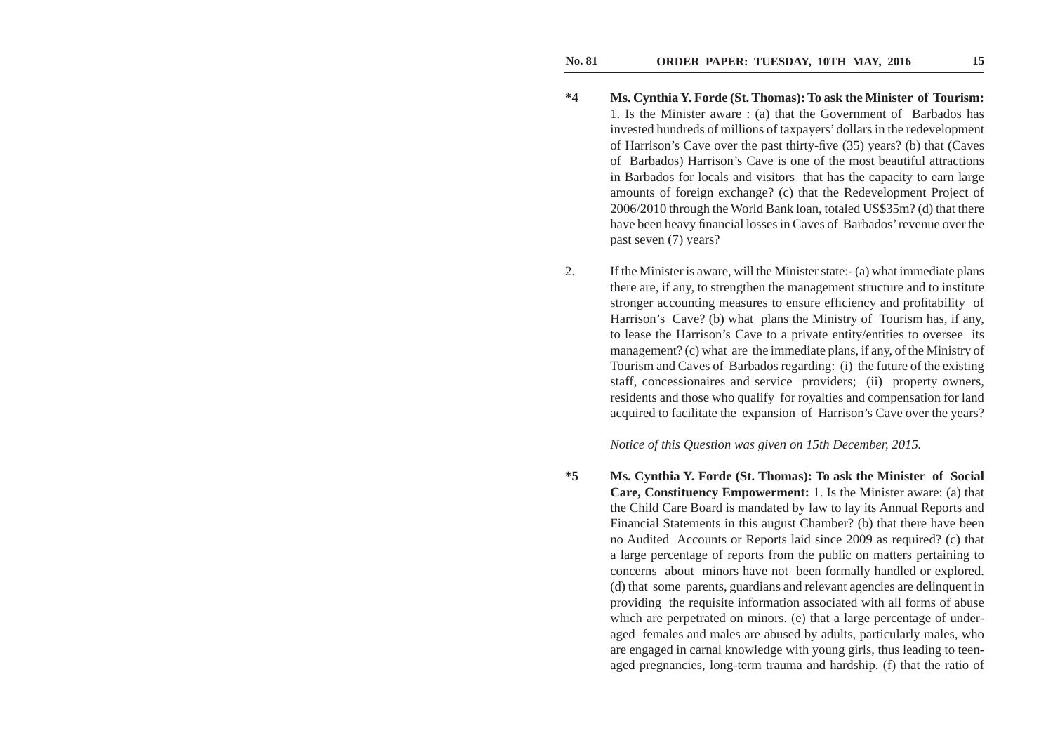- **\*4 Ms. Cynthia Y. Forde (St. Thomas): To ask the Minister of Tourism:** 1. Is the Minister aware : (a) that the Government of Barbados has invested hundreds of millions of taxpayers' dollars in the redevelopment of Harrison's Cave over the past thirty-five (35) years? (b) that (Caves of Barbados) Harrison's Cave is one of the most beautiful attractions in Barbados for locals and visitors that has the capacity to earn large amounts of foreign exchange? (c) that the Redevelopment Project of 2006/2010 through the World Bank loan, totaled US\$35m? (d) that there have been heavy financial losses in Caves of Barbados' revenue over the past seven (7) years?
- 2. If the Minister is aware, will the Minister state:- (a) what immediate plans there are, if any, to strengthen the management structure and to institute stronger accounting measures to ensure efficiency and profitability of Harrison's Cave? (b) what plans the Ministry of Tourism has, if any, to lease the Harrison's Cave to a private entity/entities to oversee its management? (c) what are the immediate plans, if any, of the Ministry of Tourism and Caves of Barbados regarding: (i) the future of the existing staff, concessionaires and service providers; (ii) property owners, residents and those who qualify for royalties and compensation for land acquired to facilitate the expansion of Harrison's Cave over the years?

*Notice of this Question was given on 15th December, 2015.*

**\*5 Ms. Cynthia Y. Forde (St. Thomas): To ask the Minister of Social Care, Constituency Empowerment:** 1. Is the Minister aware: (a) that the Child Care Board is mandated by law to lay its Annual Reports and Financial Statements in this august Chamber? (b) that there have been no Audited Accounts or Reports laid since 2009 as required? (c) that a large percentage of reports from the public on matters pertaining to concerns about minors have not been formally handled or explored. (d) that some parents, guardians and relevant agencies are delinquent in providing the requisite information associated with all forms of abuse which are perpetrated on minors. (e) that a large percentage of underaged females and males are abused by adults, particularly males, who are engaged in carnal knowledge with young girls, thus leading to teenaged pregnancies, long-term trauma and hardship. (f) that the ratio of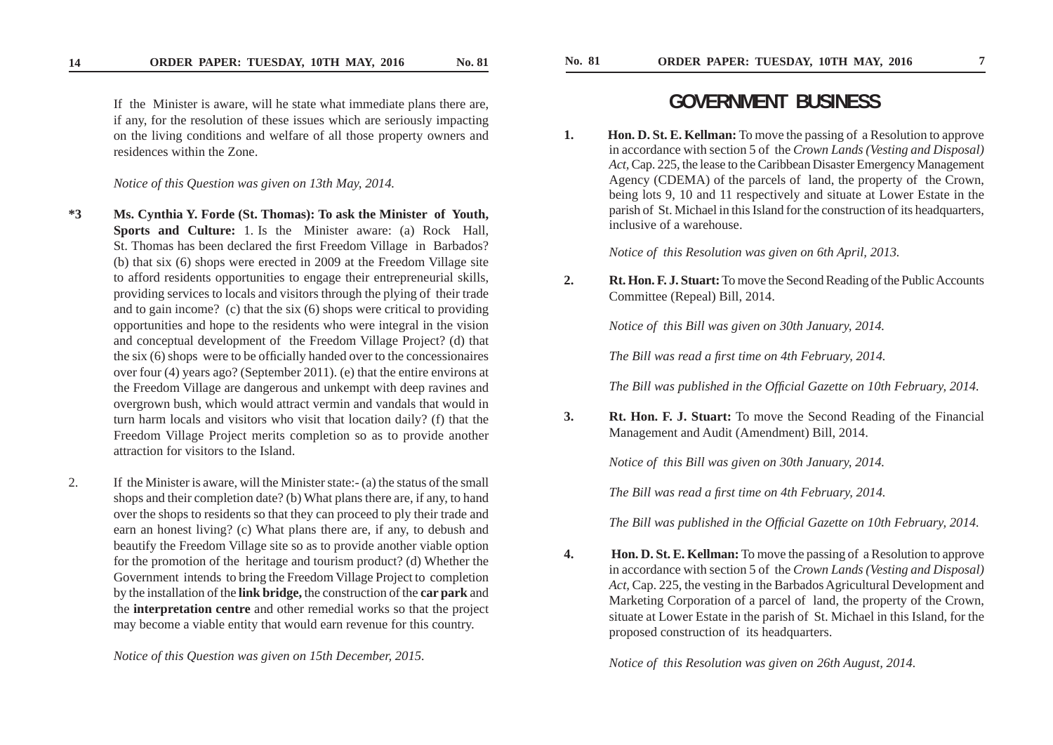**14**

 If the Minister is aware, will he state what immediate plans there are, if any, for the resolution of these issues which are seriously impacting on the living conditions and welfare of all those property owners and residences within the Zone.

 *Notice of this Question was given on 13th May, 2014.*

- **\*3 Ms. Cynthia Y. Forde (St. Thomas): To ask the Minister of Youth, Sports and Culture:** 1. Is the Minister aware: (a) Rock Hall, St. Thomas has been declared the first Freedom Village in Barbados? (b) that six (6) shops were erected in 2009 at the Freedom Village site to afford residents opportunities to engage their entrepreneurial skills, providing services to locals and visitors through the plying of their trade and to gain income? (c) that the six (6) shops were critical to providing opportunities and hope to the residents who were integral in the vision and conceptual development of the Freedom Village Project? (d) that the six  $(6)$  shops were to be officially handed over to the concessionaires over four (4) years ago? (September 2011). (e) that the entire environs at the Freedom Village are dangerous and unkempt with deep ravines and overgrown bush, which would attract vermin and vandals that would in turn harm locals and visitors who visit that location daily? (f) that the Freedom Village Project merits completion so as to provide another attraction for visitors to the Island.
- 2. If the Minister is aware, will the Minister state:- (a) the status of the small shops and their completion date? (b) What plans there are, if any, to hand over the shops to residents so that they can proceed to ply their trade and earn an honest living? (c) What plans there are, if any, to debush and beautify the Freedom Village site so as to provide another viable option for the promotion of the heritage and tourism product? (d) Whether the Government intends to bring the Freedom Village Project to completion by the installation of the **link bridge,** the construction of the **car park** and the **interpretation centre** and other remedial works so that the project may become a viable entity that would earn revenue for this country.

*Notice of this Question was given on 15th December, 2015.*

# **GOVERNMENT BUSINESS**

**1. Hon. D. St. E. Kellman:** To move the passing of a Resolution to approve in accordance with section 5 of the *Crown Lands (Vesting and Disposal) Act,* Cap. 225, the lease to the Caribbean Disaster Emergency Management Agency (CDEMA) of the parcels of land, the property of the Crown, being lots 9, 10 and 11 respectively and situate at Lower Estate in the parish of St. Michael in this Island for the construction of its headquarters, inclusive of a warehouse.

*Notice of this Resolution was given on 6th April, 2013.*

**2. Rt. Hon. F. J. Stuart:** To move the Second Reading of the Public Accounts Committee (Repeal) Bill, 2014.

*Notice of this Bill was given on 30th January, 2014.*

*The Bill was read a first time on 4th February, 2014.* 

*The Bill was published in the Official Gazette on 10th February, 2014.* 

**3. Rt. Hon. F. J. Stuart:** To move the Second Reading of the Financial Management and Audit (Amendment) Bill, 2014.

*Notice of this Bill was given on 30th January, 2014.*

*The Bill was read a first time on 4th February, 2014.* 

*The Bill was published in the Official Gazette on 10th February, 2014.* 

**4. Hon. D. St. E. Kellman:** To move the passing of a Resolution to approve in accordance with section 5 of the *Crown Lands (Vesting and Disposal) Act,* Cap. 225, the vesting in the Barbados Agricultural Development and Marketing Corporation of a parcel of land, the property of the Crown, situate at Lower Estate in the parish of St. Michael in this Island, for the proposed construction of its headquarters.

 *Notice of this Resolution was given on 26th August, 2014.*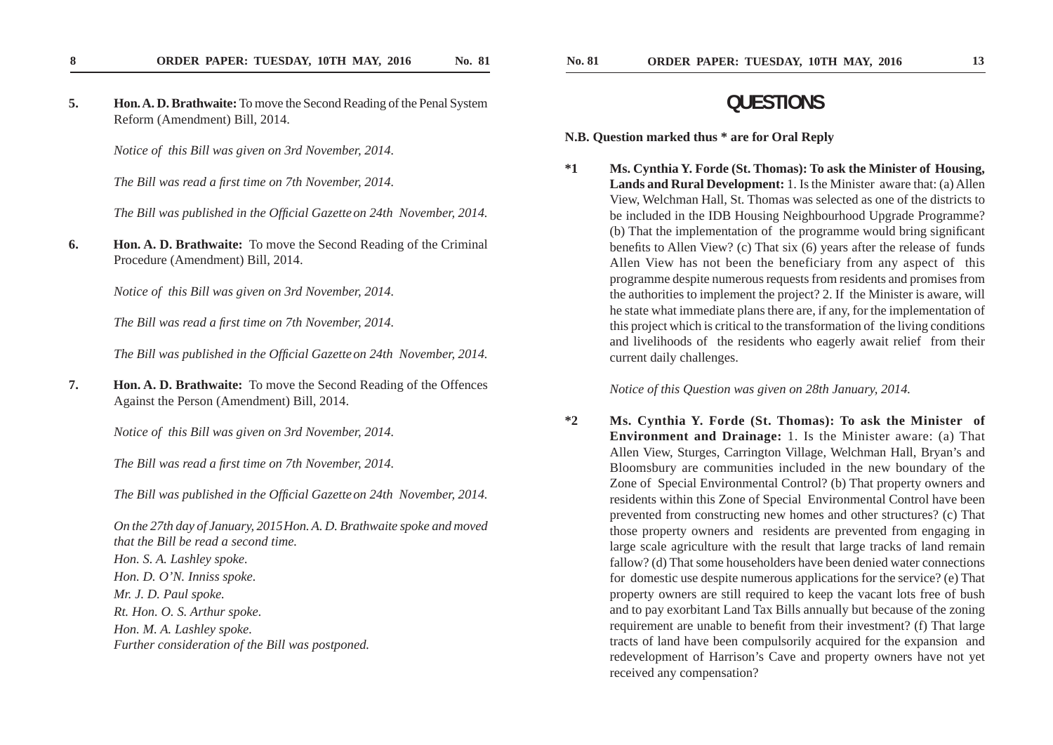**5. Hon. A. D. Brathwaite:** To move the Second Reading of the Penal System Reform (Amendment) Bill, 2014.

 *Notice of this Bill was given on 3rd November, 2014.*

*The Bill was read a first time on 7th November, 2014.* 

*The Bill was published in the Official Gazette on 24th November, 2014.* 

**6. Hon. A. D. Brathwaite:** To move the Second Reading of the Criminal Procedure (Amendment) Bill, 2014.

*Notice of this Bill was given on 3rd November, 2014.*

*The Bill was read a first time on 7th November, 2014.* 

*The Bill was published in the Official Gazette on 24th November, 2014.* 

**7. Hon. A. D. Brathwaite:** To move the Second Reading of the Offences Against the Person (Amendment) Bill, 2014.

*Notice of this Bill was given on 3rd November, 2014.*

*The Bill was read a first time on 7th November, 2014.* 

*The Bill was published in the Official Gazette on 24th November, 2014.* 

 *On the 27th day of January, 2015 Hon. A. D. Brathwaite spoke and moved that the Bill be read a second time. Hon. S. A. Lashley spoke. Hon. D. O'N. Inniss spoke. Mr. J. D. Paul spoke. Rt. Hon. O. S. Arthur spoke. Hon. M. A. Lashley spoke. Further consideration of the Bill was postponed.*

## **QUESTIONS**

**N.B. Question marked thus \* are for Oral Reply** 

**\*1 Ms. Cynthia Y. Forde (St. Thomas): To ask the Minister of Housing, Lands and Rural Development:** 1. Is the Minister aware that: (a) Allen View, Welchman Hall, St. Thomas was selected as one of the districts to be included in the IDB Housing Neighbourhood Upgrade Programme? (b) That the implementation of the programme would bring significant benefits to Allen View? (c) That six (6) years after the release of funds Allen View has not been the beneficiary from any aspect of this programme despite numerous requests from residents and promises from the authorities to implement the project? 2. If the Minister is aware, will he state what immediate plans there are, if any, for the implementation of this project which is critical to the transformation of the living conditions and livelihoods of the residents who eagerly await relief from their current daily challenges.

### *Notice of this Question was given on 28th January, 2014.*

**\*2 Ms. Cynthia Y. Forde (St. Thomas): To ask the Minister of Environment and Drainage:** 1. Is the Minister aware: (a) That Allen View, Sturges, Carrington Village, Welchman Hall, Bryan's and Bloomsbury are communities included in the new boundary of the Zone of Special Environmental Control? (b) That property owners and residents within this Zone of Special Environmental Control have been prevented from constructing new homes and other structures? (c) That those property owners and residents are prevented from engaging in large scale agriculture with the result that large tracks of land remain fallow? (d) That some householders have been denied water connections for domestic use despite numerous applications for the service? (e) That property owners are still required to keep the vacant lots free of bush and to pay exorbitant Land Tax Bills annually but because of the zoning requirement are unable to benefit from their investment? (f) That large tracts of land have been compulsorily acquired for the expansion and redevelopment of Harrison's Cave and property owners have not yet received any compensation?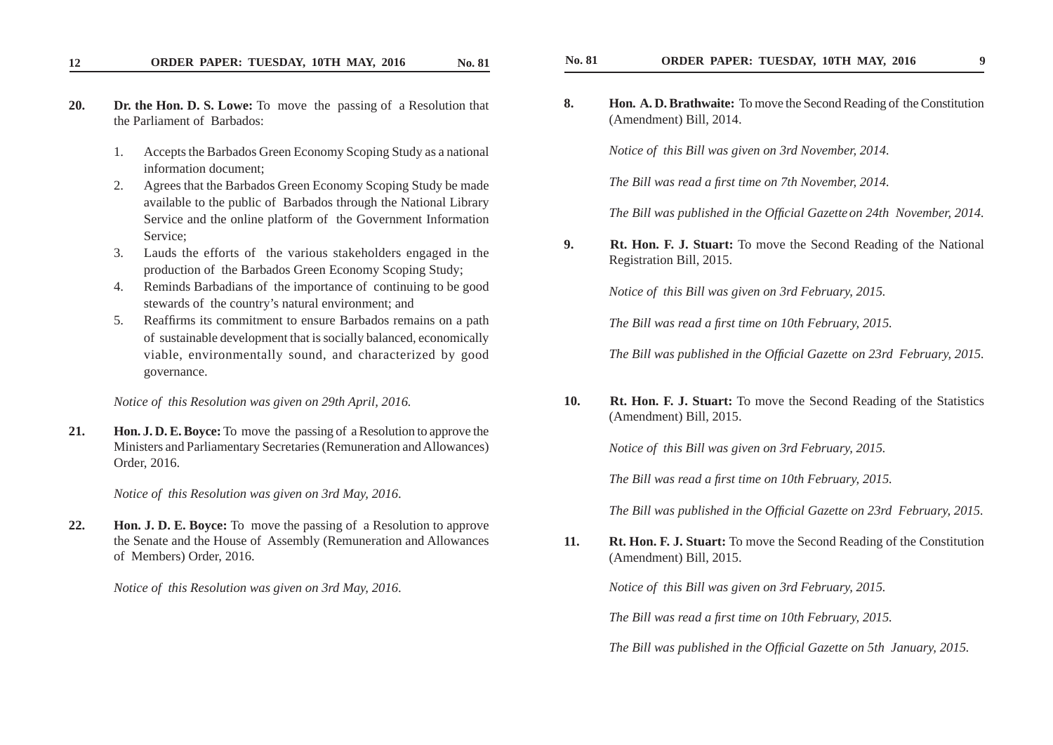- **20. Dr. the Hon. D. S. Lowe:** To move the passing of a Resolution that the Parliament of Barbados:
	- 1. Accepts the Barbados Green Economy Scoping Study as a national information document;
	- 2. Agrees that the Barbados Green Economy Scoping Study be made available to the public of Barbados through the National Library Service and the online platform of the Government Information Service;
	- 3. Lauds the efforts of the various stakeholders engaged in the production of the Barbados Green Economy Scoping Study;
	- 4. Reminds Barbadians of the importance of continuing to be good stewards of the country's natural environment; and
	- 5. Reaffirms its commitment to ensure Barbados remains on a path of sustainable development that is socially balanced, economically viable, environmentally sound, and characterized by good governance.

*Notice of this Resolution was given on 29th April, 2016.*

**21. Hon. J. D. E. Boyce:** To move the passing of a Resolution to approve the Ministers and Parliamentary Secretaries (Remuneration and Allowances) Order, 2016.

*Notice of this Resolution was given on 3rd May, 2016*.

**22. Hon. J. D. E. Boyce:** To move the passing of a Resolution to approve the Senate and the House of Assembly (Remuneration and Allowances of Members) Order, 2016.

*Notice of this Resolution was given on 3rd May, 2016*.

**8. Hon. A. D. Brathwaite:** To move the Second Reading of the Constitution (Amendment) Bill, 2014.

*Notice of this Bill was given on 3rd November, 2014.*

*The Bill was read a first time on 7th November, 2014.* 

*The Bill was published in the Official Gazette on 24th November, 2014.* 

**9. Rt. Hon. F. J. Stuart:** To move the Second Reading of the National Registration Bill, 2015.

*Notice of this Bill was given on 3rd February, 2015.*

*The Bill was read a first time on 10th February, 2015.* 

*The Bill was published in the Official Gazette on 23rd February, 2015.* 

**10. Rt. Hon. F. J. Stuart:** To move the Second Reading of the Statistics (Amendment) Bill, 2015.

 *Notice of this Bill was given on 3rd February, 2015.*

*The Bill was read a first time on 10th February, 2015.* 

*The Bill was published in the Official Gazette on 23rd February, 2015.* 

**11. Rt. Hon. F. J. Stuart:** To move the Second Reading of the Constitution (Amendment) Bill, 2015.

*Notice of this Bill was given on 3rd February, 2015.*

*The Bill was read a first time on 10th February, 2015.* 

 *The Bill was published in the Offi cial Gazette on 5th January, 2015.*